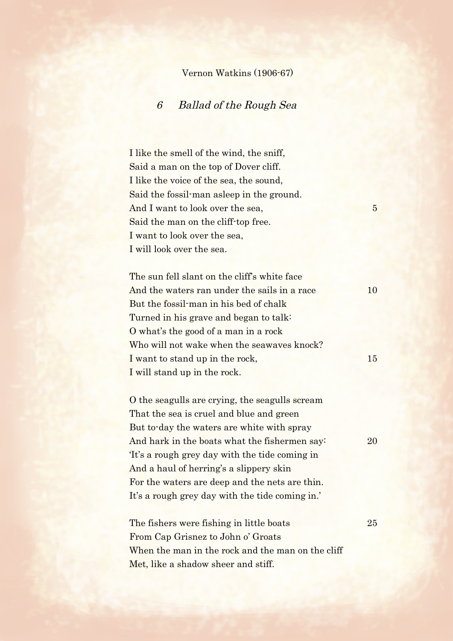## Vernon Watkins (1906-67)

## 6 Ballad of the Rough Sea

I like the smell of the wind, the sniff, Said a man on the top of Dover cliff. I like the voice of the sea, the sound, Said the fossil-man asleep in the ground. And I want to look over the sea, 5 Said the man on the cliff-top free. I want to look over the sea, I will look over the sea.

The sun fell slant on the cliff's white face And the waters ran under the sails in a race 10 But the fossil-man in his bed of chalk Turned in his grave and began to talk: O what's the good of a man in a rock Who will not wake when the seawaves knock? I want to stand up in the rock, 15 I will stand up in the rock.

O the seagulls are crying, the seagulls scream That the sea is cruel and blue and green But to-day the waters are white with spray And hark in the boats what the fishermen say: 20 'It's a rough grey day with the tide coming in And a haul of herring's a slippery skin For the waters are deep and the nets are thin. It's a rough grey day with the tide coming in.'

The fishers were fishing in little boats 25 From Cap Grisnez to John o' Groats When the man in the rock and the man on the cliff Met, like a shadow sheer and stiff.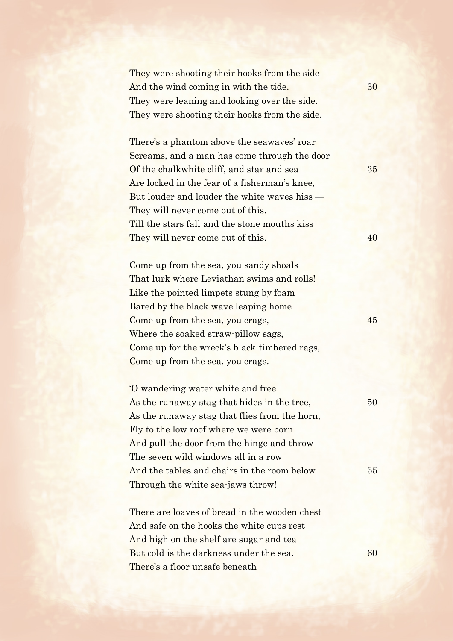They were shooting their hooks from the side And the wind coming in with the tide. 30 They were leaning and looking over the side. They were shooting their hooks from the side.

There's a phantom above the seawaves' roar Screams, and a man has come through the door Of the chalkwhite cliff, and star and sea 35 Are locked in the fear of a fisherman's knee, But louder and louder the white waves hiss — They will never come out of this. Till the stars fall and the stone mouths kiss They will never come out of this. 40

Come up from the sea, you sandy shoals That lurk where Leviathan swims and rolls! Like the pointed limpets stung by foam Bared by the black wave leaping home Come up from the sea, you crags,  $45$ Where the soaked straw-pillow sags, Come up for the wreck's black-timbered rags, Come up from the sea, you crags.

'O wandering water white and free As the runaway stag that hides in the tree, 50 As the runaway stag that flies from the horn, Fly to the low roof where we were born And pull the door from the hinge and throw The seven wild windows all in a row And the tables and chairs in the room below 55 Through the white sea-jaws throw!

There are loaves of bread in the wooden chest And safe on the hooks the white cups rest And high on the shelf are sugar and tea But cold is the darkness under the sea. 60 There's a floor unsafe beneath